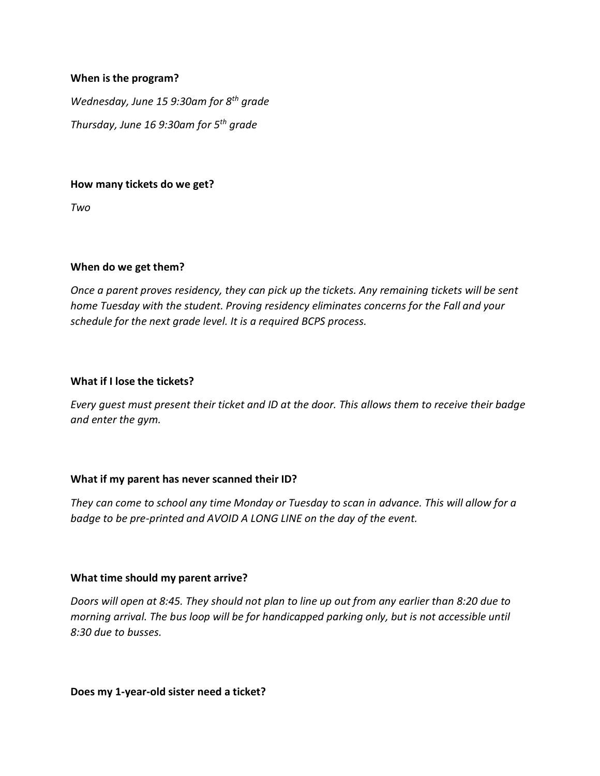## **When is the program?**

*Wednesday, June 15 9:30am for 8th grade Thursday, June 16 9:30am for 5th grade*

#### **How many tickets do we get?**

*Two*

## **When do we get them?**

*Once a parent proves residency, they can pick up the tickets. Any remaining tickets will be sent home Tuesday with the student. Proving residency eliminates concerns for the Fall and your schedule for the next grade level. It is a required BCPS process.* 

#### **What if I lose the tickets?**

*Every guest must present their ticket and ID at the door. This allows them to receive their badge and enter the gym.*

## **What if my parent has never scanned their ID?**

*They can come to school any time Monday or Tuesday to scan in advance. This will allow for a badge to be pre-printed and AVOID A LONG LINE on the day of the event.*

## **What time should my parent arrive?**

*Doors will open at 8:45. They should not plan to line up out from any earlier than 8:20 due to morning arrival. The bus loop will be for handicapped parking only, but is not accessible until 8:30 due to busses.* 

#### **Does my 1-year-old sister need a ticket?**